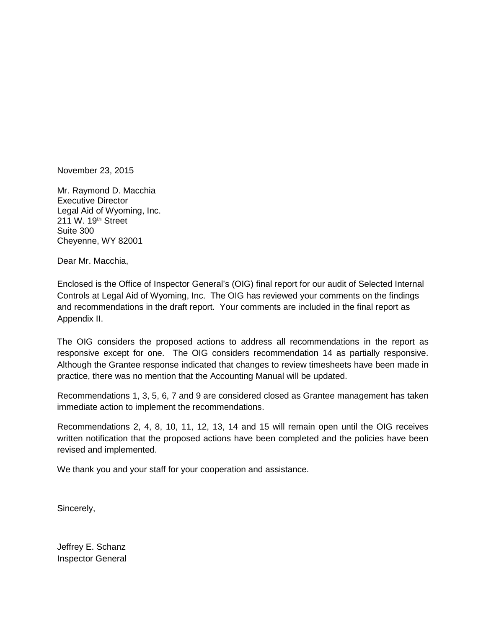November 23, 2015

Mr. Raymond D. Macchia Executive Director Legal Aid of Wyoming, Inc. 211 W. 19<sup>th</sup> Street Suite 300 Cheyenne, WY 82001

Dear Mr. Macchia,

Enclosed is the Office of Inspector General's (OIG) final report for our audit of Selected Internal Controls at Legal Aid of Wyoming, Inc. The OIG has reviewed your comments on the findings and recommendations in the draft report. Your comments are included in the final report as Appendix II.

The OIG considers the proposed actions to address all recommendations in the report as responsive except for one. The OIG considers recommendation 14 as partially responsive. Although the Grantee response indicated that changes to review timesheets have been made in practice, there was no mention that the Accounting Manual will be updated.

Recommendations 1, 3, 5, 6, 7 and 9 are considered closed as Grantee management has taken immediate action to implement the recommendations.

Recommendations 2, 4, 8, 10, 11, 12, 13, 14 and 15 will remain open until the OIG receives written notification that the proposed actions have been completed and the policies have been revised and implemented.

We thank you and your staff for your cooperation and assistance.

Sincerely,

Jeffrey E. Schanz Inspector General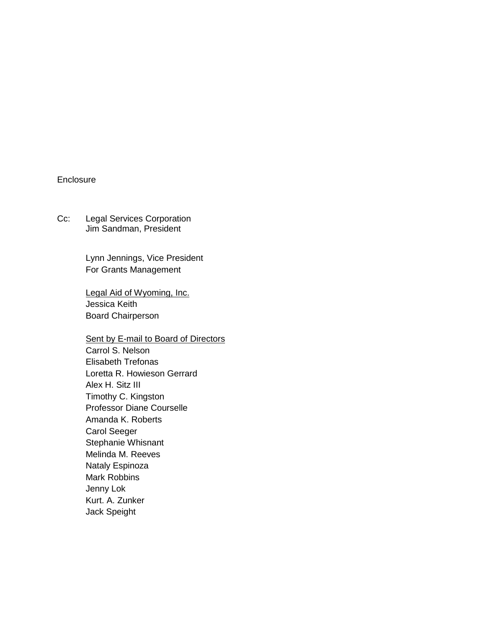#### **Enclosure**

Cc: Legal Services Corporation Jim Sandman, President

> Lynn Jennings, Vice President For Grants Management

Legal Aid of Wyoming, Inc. Jessica Keith Board Chairperson

Sent by E-mail to Board of Directors Carrol S. Nelson Elisabeth Trefonas Loretta R. Howieson Gerrard Alex H. Sitz III Timothy C. Kingston Professor Diane Courselle Amanda K. Roberts Carol Seeger Stephanie Whisnant Melinda M. Reeves Nataly Espinoza Mark Robbins Jenny Lok Kurt. A. Zunker Jack Speight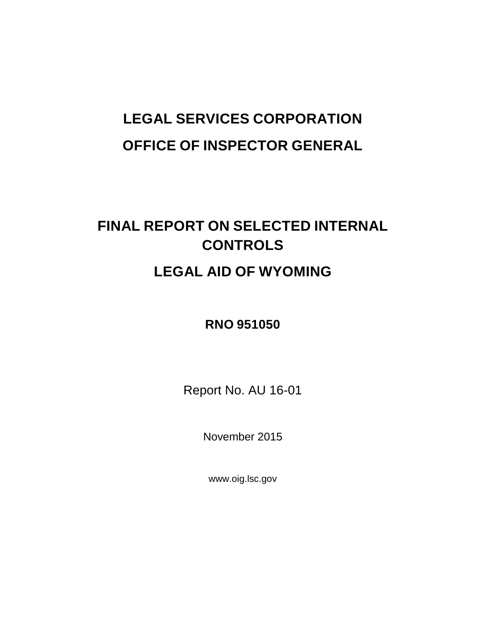# **LEGAL SERVICES CORPORATION OFFICE OF INSPECTOR GENERAL**

# **FINAL REPORT ON SELECTED INTERNAL CONTROLS LEGAL AID OF WYOMING**

# **RNO 951050**

Report No. AU 16-01

November 2015

www.oig.lsc.gov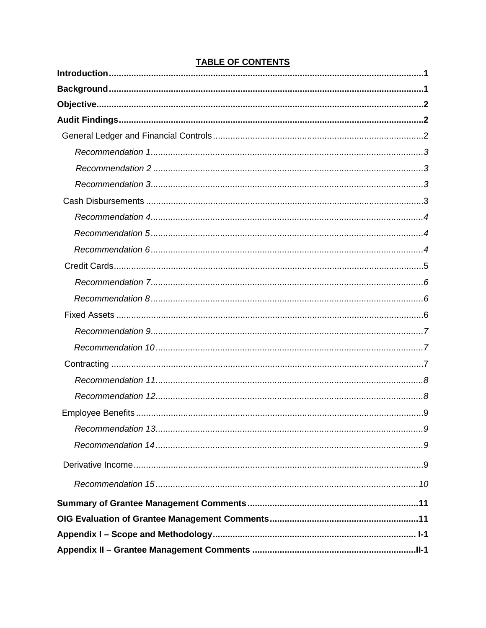#### **TABLE OF CONTENTS**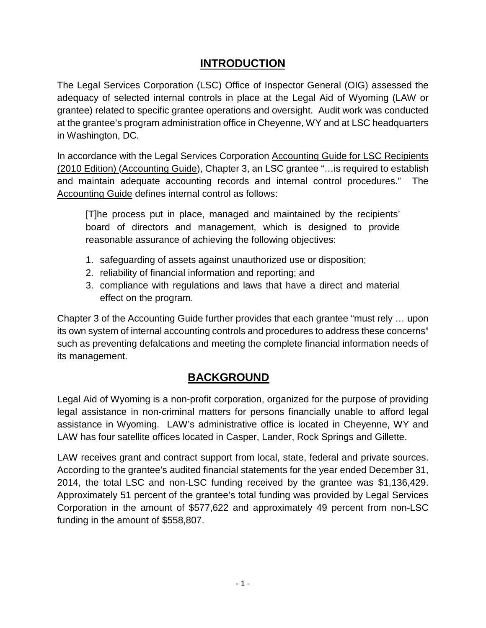# **INTRODUCTION**

The Legal Services Corporation (LSC) Office of Inspector General (OIG) assessed the adequacy of selected internal controls in place at the Legal Aid of Wyoming (LAW or grantee) related to specific grantee operations and oversight. Audit work was conducted at the grantee's program administration office in Cheyenne, WY and at LSC headquarters in Washington, DC.

In accordance with the Legal Services Corporation Accounting Guide for LSC Recipients (2010 Edition) (Accounting Guide), Chapter 3, an LSC grantee "…is required to establish and maintain adequate accounting records and internal control procedures." The Accounting Guide defines internal control as follows:

[T]he process put in place, managed and maintained by the recipients' board of directors and management, which is designed to provide reasonable assurance of achieving the following objectives:

- 1. safeguarding of assets against unauthorized use or disposition;
- 2. reliability of financial information and reporting; and
- 3. compliance with regulations and laws that have a direct and material effect on the program.

Chapter 3 of the Accounting Guide further provides that each grantee "must rely … upon its own system of internal accounting controls and procedures to address these concerns" such as preventing defalcations and meeting the complete financial information needs of its management.

# **BACKGROUND**

Legal Aid of Wyoming is a non-profit corporation, organized for the purpose of providing legal assistance in non-criminal matters for persons financially unable to afford legal assistance in Wyoming. LAW's administrative office is located in Cheyenne, WY and LAW has four satellite offices located in Casper, Lander, Rock Springs and Gillette.

LAW receives grant and contract support from local, state, federal and private sources. According to the grantee's audited financial statements for the year ended December 31, 2014, the total LSC and non-LSC funding received by the grantee was \$1,136,429. Approximately 51 percent of the grantee's total funding was provided by Legal Services Corporation in the amount of \$577,622 and approximately 49 percent from non-LSC funding in the amount of \$558,807.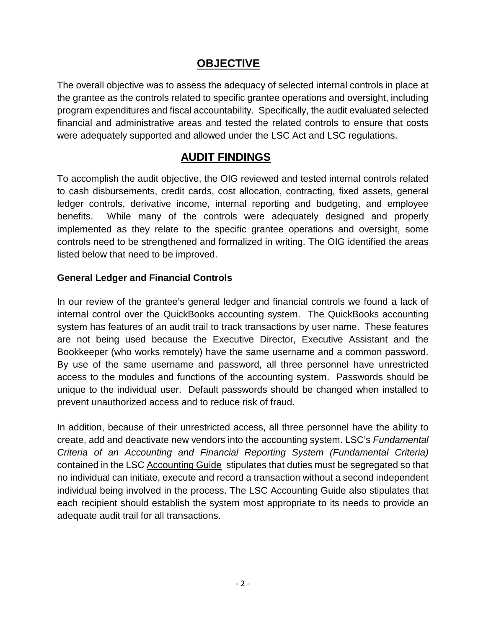## **OBJECTIVE**

The overall objective was to assess the adequacy of selected internal controls in place at the grantee as the controls related to specific grantee operations and oversight, including program expenditures and fiscal accountability. Specifically, the audit evaluated selected financial and administrative areas and tested the related controls to ensure that costs were adequately supported and allowed under the LSC Act and LSC regulations.

## **AUDIT FINDINGS**

To accomplish the audit objective, the OIG reviewed and tested internal controls related to cash disbursements, credit cards, cost allocation, contracting, fixed assets, general ledger controls, derivative income, internal reporting and budgeting, and employee benefits. While many of the controls were adequately designed and properly implemented as they relate to the specific grantee operations and oversight, some controls need to be strengthened and formalized in writing. The OIG identified the areas listed below that need to be improved.

### **General Ledger and Financial Controls**

In our review of the grantee's general ledger and financial controls we found a lack of internal control over the QuickBooks accounting system. The QuickBooks accounting system has features of an audit trail to track transactions by user name. These features are not being used because the Executive Director, Executive Assistant and the Bookkeeper (who works remotely) have the same username and a common password. By use of the same username and password, all three personnel have unrestricted access to the modules and functions of the accounting system. Passwords should be unique to the individual user. Default passwords should be changed when installed to prevent unauthorized access and to reduce risk of fraud.

In addition, because of their unrestricted access, all three personnel have the ability to create, add and deactivate new vendors into the accounting system. LSC's *Fundamental Criteria of an Accounting and Financial Reporting System (Fundamental Criteria)*  contained in the LSC Accounting Guide stipulates that duties must be segregated so that no individual can initiate, execute and record a transaction without a second independent individual being involved in the process. The LSC Accounting Guide also stipulates that each recipient should establish the system most appropriate to its needs to provide an adequate audit trail for all transactions.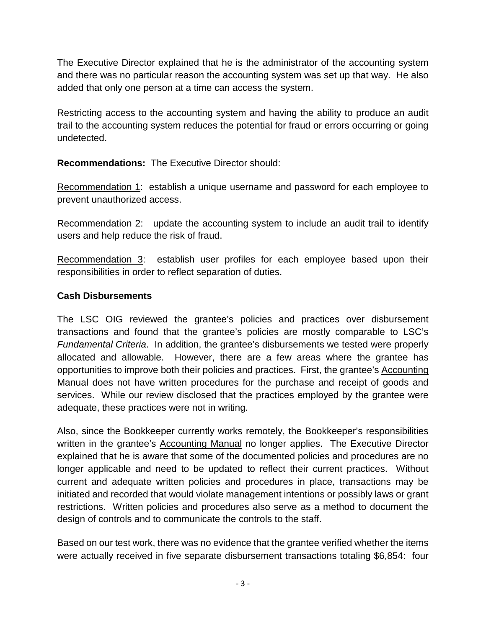The Executive Director explained that he is the administrator of the accounting system and there was no particular reason the accounting system was set up that way. He also added that only one person at a time can access the system.

Restricting access to the accounting system and having the ability to produce an audit trail to the accounting system reduces the potential for fraud or errors occurring or going undetected.

**Recommendations:** The Executive Director should:

Recommendation 1: establish a unique username and password for each employee to prevent unauthorized access.

Recommendation 2:update the accounting system to include an audit trail to identify users and help reduce the risk of fraud.

Recommendation 3:establish user profiles for each employee based upon their responsibilities in order to reflect separation of duties.

#### **Cash Disbursements**

The LSC OIG reviewed the grantee's policies and practices over disbursement transactions and found that the grantee's policies are mostly comparable to LSC's *Fundamental Criteria*. In addition, the grantee's disbursements we tested were properly allocated and allowable. However, there are a few areas where the grantee has opportunities to improve both their policies and practices. First, the grantee's Accounting Manual does not have written procedures for the purchase and receipt of goods and services. While our review disclosed that the practices employed by the grantee were adequate, these practices were not in writing.

Also, since the Bookkeeper currently works remotely, the Bookkeeper's responsibilities written in the grantee's Accounting Manual no longer applies. The Executive Director explained that he is aware that some of the documented policies and procedures are no longer applicable and need to be updated to reflect their current practices. Without current and adequate written policies and procedures in place, transactions may be initiated and recorded that would violate management intentions or possibly laws or grant restrictions. Written policies and procedures also serve as a method to document the design of controls and to communicate the controls to the staff.

Based on our test work, there was no evidence that the grantee verified whether the items were actually received in five separate disbursement transactions totaling \$6,854: four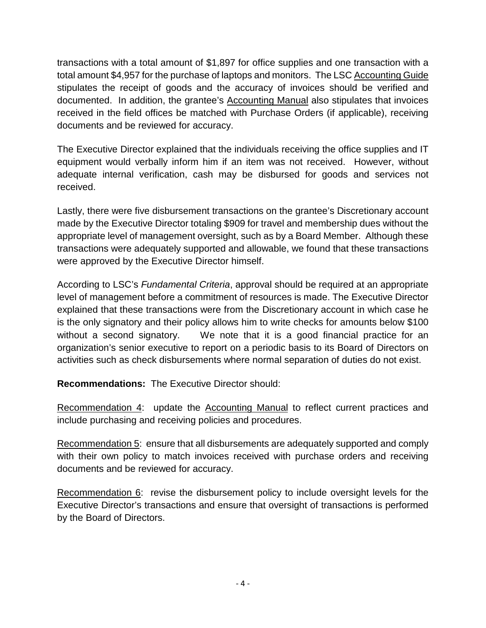transactions with a total amount of \$1,897 for office supplies and one transaction with a total amount \$4,957 for the purchase of laptops and monitors. The LSC Accounting Guide stipulates the receipt of goods and the accuracy of invoices should be verified and documented. In addition, the grantee's Accounting Manual also stipulates that invoices received in the field offices be matched with Purchase Orders (if applicable), receiving documents and be reviewed for accuracy.

The Executive Director explained that the individuals receiving the office supplies and IT equipment would verbally inform him if an item was not received. However, without adequate internal verification, cash may be disbursed for goods and services not received.

Lastly, there were five disbursement transactions on the grantee's Discretionary account made by the Executive Director totaling \$909 for travel and membership dues without the appropriate level of management oversight, such as by a Board Member. Although these transactions were adequately supported and allowable, we found that these transactions were approved by the Executive Director himself.

According to LSC's *Fundamental Criteria*, approval should be required at an appropriate level of management before a commitment of resources is made. The Executive Director explained that these transactions were from the Discretionary account in which case he is the only signatory and their policy allows him to write checks for amounts below \$100 without a second signatory. We note that it is a good financial practice for an organization's senior executive to report on a periodic basis to its Board of Directors on activities such as check disbursements where normal separation of duties do not exist.

**Recommendations:** The Executive Director should:

Recommendation 4:update the Accounting Manual to reflect current practices and include purchasing and receiving policies and procedures.

Recommendation 5:ensure that all disbursements are adequately supported and comply with their own policy to match invoices received with purchase orders and receiving documents and be reviewed for accuracy.

Recommendation 6:revise the disbursement policy to include oversight levels for the Executive Director's transactions and ensure that oversight of transactions is performed by the Board of Directors.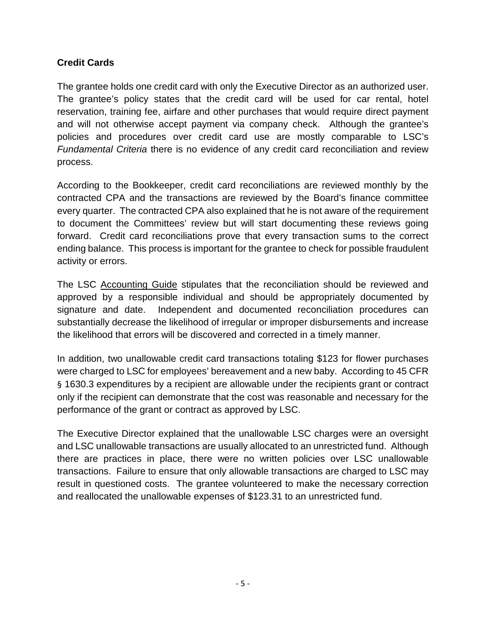#### **Credit Cards**

The grantee holds one credit card with only the Executive Director as an authorized user. The grantee's policy states that the credit card will be used for car rental, hotel reservation, training fee, airfare and other purchases that would require direct payment and will not otherwise accept payment via company check. Although the grantee's policies and procedures over credit card use are mostly comparable to LSC's *Fundamental Criteria* there is no evidence of any credit card reconciliation and review process.

According to the Bookkeeper, credit card reconciliations are reviewed monthly by the contracted CPA and the transactions are reviewed by the Board's finance committee every quarter. The contracted CPA also explained that he is not aware of the requirement to document the Committees' review but will start documenting these reviews going forward. Credit card reconciliations prove that every transaction sums to the correct ending balance. This process is important for the grantee to check for possible fraudulent activity or errors.

The LSC Accounting Guide stipulates that the reconciliation should be reviewed and approved by a responsible individual and should be appropriately documented by signature and date. Independent and documented reconciliation procedures can substantially decrease the likelihood of irregular or improper disbursements and increase the likelihood that errors will be discovered and corrected in a timely manner.

In addition, two unallowable credit card transactions totaling \$123 for flower purchases were charged to LSC for employees' bereavement and a new baby. According to 45 CFR § 1630.3 expenditures by a recipient are allowable under the recipients grant or contract only if the recipient can demonstrate that the cost was reasonable and necessary for the performance of the grant or contract as approved by LSC.

The Executive Director explained that the unallowable LSC charges were an oversight and LSC unallowable transactions are usually allocated to an unrestricted fund. Although there are practices in place, there were no written policies over LSC unallowable transactions. Failure to ensure that only allowable transactions are charged to LSC may result in questioned costs. The grantee volunteered to make the necessary correction and reallocated the unallowable expenses of \$123.31 to an unrestricted fund.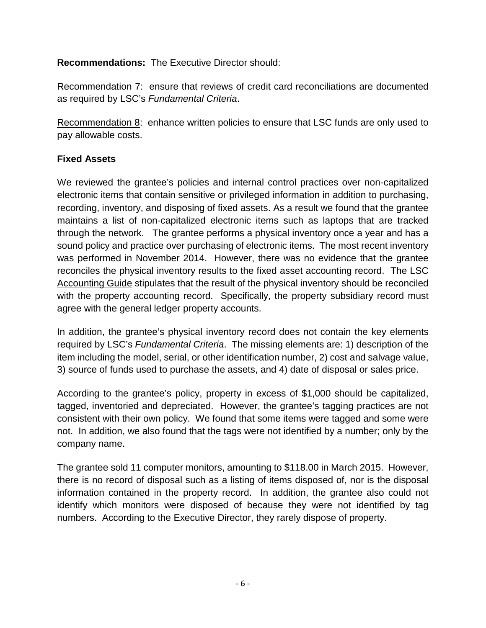**Recommendations:** The Executive Director should:

Recommendation 7: ensure that reviews of credit card reconciliations are documented as required by LSC's *Fundamental Criteria*.

Recommendation 8: enhance written policies to ensure that LSC funds are only used to pay allowable costs.

#### **Fixed Assets**

We reviewed the grantee's policies and internal control practices over non-capitalized electronic items that contain sensitive or privileged information in addition to purchasing, recording, inventory, and disposing of fixed assets. As a result we found that the grantee maintains a list of non-capitalized electronic items such as laptops that are tracked through the network. The grantee performs a physical inventory once a year and has a sound policy and practice over purchasing of electronic items. The most recent inventory was performed in November 2014. However, there was no evidence that the grantee reconciles the physical inventory results to the fixed asset accounting record. The LSC Accounting Guide stipulates that the result of the physical inventory should be reconciled with the property accounting record. Specifically, the property subsidiary record must agree with the general ledger property accounts.

In addition, the grantee's physical inventory record does not contain the key elements required by LSC's *Fundamental Criteria*. The missing elements are: 1) description of the item including the model, serial, or other identification number, 2) cost and salvage value, 3) source of funds used to purchase the assets, and 4) date of disposal or sales price.

According to the grantee's policy, property in excess of \$1,000 should be capitalized, tagged, inventoried and depreciated. However, the grantee's tagging practices are not consistent with their own policy. We found that some items were tagged and some were not. In addition, we also found that the tags were not identified by a number; only by the company name.

The grantee sold 11 computer monitors, amounting to \$118.00 in March 2015. However, there is no record of disposal such as a listing of items disposed of, nor is the disposal information contained in the property record. In addition, the grantee also could not identify which monitors were disposed of because they were not identified by tag numbers. According to the Executive Director, they rarely dispose of property.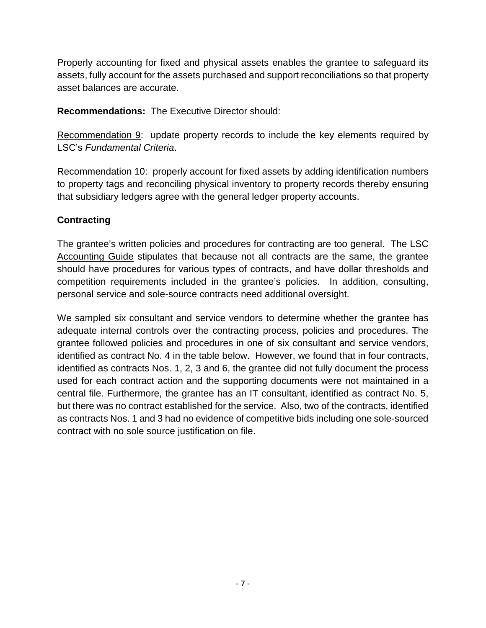Properly accounting for fixed and physical assets enables the grantee to safeguard its assets, fully account for the assets purchased and support reconciliations so that property asset balances are accurate.

**Recommendations:** The Executive Director should:

Recommendation 9: update property records to include the key elements required by LSC's *Fundamental Criteria*.

Recommendation 10:properly account for fixed assets by adding identification numbers to property tags and reconciling physical inventory to property records thereby ensuring that subsidiary ledgers agree with the general ledger property accounts.

#### **Contracting**

The grantee's written policies and procedures for contracting are too general. The LSC Accounting Guide stipulates that because not all contracts are the same, the grantee should have procedures for various types of contracts, and have dollar thresholds and competition requirements included in the grantee's policies. In addition, consulting, personal service and sole-source contracts need additional oversight.

We sampled six consultant and service vendors to determine whether the grantee has adequate internal controls over the contracting process, policies and procedures. The grantee followed policies and procedures in one of six consultant and service vendors, identified as contract No. 4 in the table below. However, we found that in four contracts, identified as contracts Nos. 1, 2, 3 and 6, the grantee did not fully document the process used for each contract action and the supporting documents were not maintained in a central file. Furthermore, the grantee has an IT consultant, identified as contract No. 5, but there was no contract established for the service. Also, two of the contracts, identified as contracts Nos. 1 and 3 had no evidence of competitive bids including one sole-sourced contract with no sole source justification on file.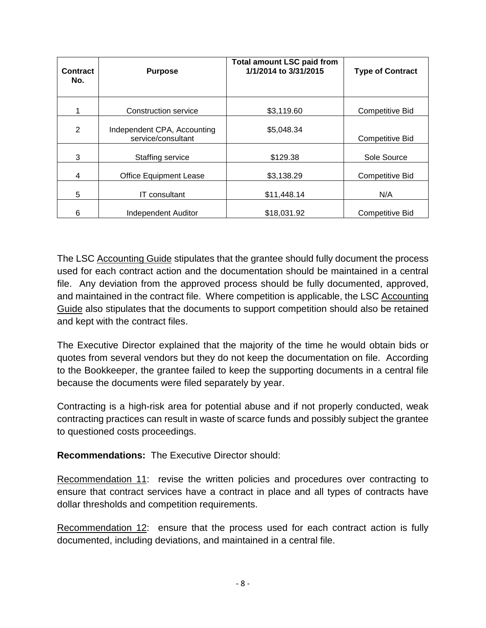| <b>Contract</b><br>No. | <b>Purpose</b>                                    | <b>Total amount LSC paid from</b><br>1/1/2014 to 3/31/2015 | <b>Type of Contract</b> |
|------------------------|---------------------------------------------------|------------------------------------------------------------|-------------------------|
|                        | Construction service                              | \$3,119.60                                                 | <b>Competitive Bid</b>  |
| 2                      | Independent CPA, Accounting<br>service/consultant | \$5,048.34                                                 | Competitive Bid         |
| 3                      | Staffing service                                  | \$129.38                                                   | Sole Source             |
| 4                      | <b>Office Equipment Lease</b>                     | \$3,138.29                                                 | <b>Competitive Bid</b>  |
| 5                      | IT consultant                                     | \$11,448.14                                                | N/A                     |
| 6                      | Independent Auditor                               | \$18,031.92                                                | Competitive Bid         |

The LSC Accounting Guide stipulates that the grantee should fully document the process used for each contract action and the documentation should be maintained in a central file. Any deviation from the approved process should be fully documented, approved, and maintained in the contract file. Where competition is applicable, the LSC Accounting Guide also stipulates that the documents to support competition should also be retained and kept with the contract files.

The Executive Director explained that the majority of the time he would obtain bids or quotes from several vendors but they do not keep the documentation on file. According to the Bookkeeper, the grantee failed to keep the supporting documents in a central file because the documents were filed separately by year.

Contracting is a high-risk area for potential abuse and if not properly conducted, weak contracting practices can result in waste of scarce funds and possibly subject the grantee to questioned costs proceedings.

**Recommendations:** The Executive Director should:

Recommendation 11: revise the written policies and procedures over contracting to ensure that contract services have a contract in place and all types of contracts have dollar thresholds and competition requirements.

Recommendation 12: ensure that the process used for each contract action is fully documented, including deviations, and maintained in a central file.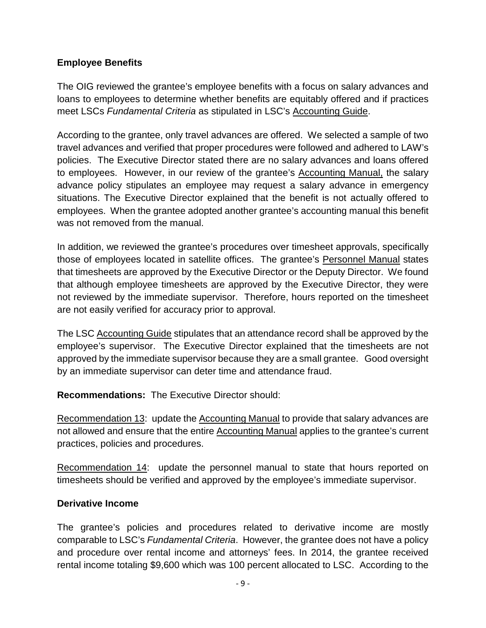#### **Employee Benefits**

The OIG reviewed the grantee's employee benefits with a focus on salary advances and loans to employees to determine whether benefits are equitably offered and if practices meet LSCs *Fundamental Criteria* as stipulated in LSC's Accounting Guide.

According to the grantee, only travel advances are offered. We selected a sample of two travel advances and verified that proper procedures were followed and adhered to LAW's policies. The Executive Director stated there are no salary advances and loans offered to employees. However, in our review of the grantee's Accounting Manual, the salary advance policy stipulates an employee may request a salary advance in emergency situations. The Executive Director explained that the benefit is not actually offered to employees. When the grantee adopted another grantee's accounting manual this benefit was not removed from the manual.

In addition, we reviewed the grantee's procedures over timesheet approvals, specifically those of employees located in satellite offices. The grantee's Personnel Manual states that timesheets are approved by the Executive Director or the Deputy Director. We found that although employee timesheets are approved by the Executive Director, they were not reviewed by the immediate supervisor. Therefore, hours reported on the timesheet are not easily verified for accuracy prior to approval.

The LSC Accounting Guide stipulates that an attendance record shall be approved by the employee's supervisor. The Executive Director explained that the timesheets are not approved by the immediate supervisor because they are a small grantee. Good oversight by an immediate supervisor can deter time and attendance fraud.

**Recommendations:** The Executive Director should:

Recommendation 13: update the Accounting Manual to provide that salary advances are not allowed and ensure that the entire Accounting Manual applies to the grantee's current practices, policies and procedures.

Recommendation 14: update the personnel manual to state that hours reported on timesheets should be verified and approved by the employee's immediate supervisor.

#### **Derivative Income**

The grantee's policies and procedures related to derivative income are mostly comparable to LSC's *Fundamental Criteria*. However, the grantee does not have a policy and procedure over rental income and attorneys' fees. In 2014, the grantee received rental income totaling \$9,600 which was 100 percent allocated to LSC. According to the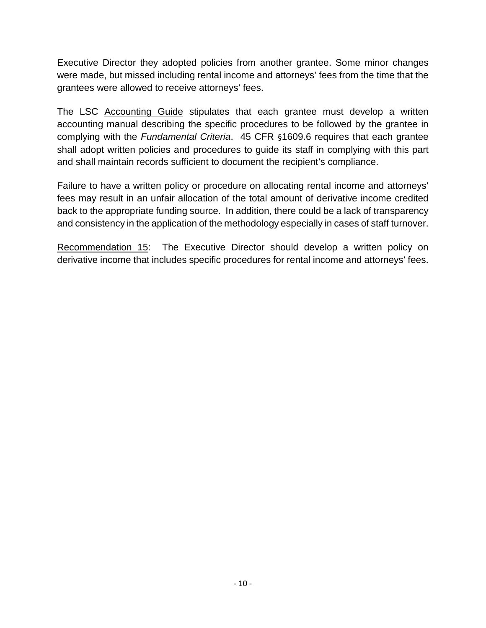Executive Director they adopted policies from another grantee. Some minor changes were made, but missed including rental income and attorneys' fees from the time that the grantees were allowed to receive attorneys' fees.

The LSC Accounting Guide stipulates that each grantee must develop a written accounting manual describing the specific procedures to be followed by the grantee in complying with the *Fundamental Criteria*. 45 CFR §1609.6 requires that each grantee shall adopt written policies and procedures to guide its staff in complying with this part and shall maintain records sufficient to document the recipient's compliance.

Failure to have a written policy or procedure on allocating rental income and attorneys' fees may result in an unfair allocation of the total amount of derivative income credited back to the appropriate funding source. In addition, there could be a lack of transparency and consistency in the application of the methodology especially in cases of staff turnover.

Recommendation 15: The Executive Director should develop a written policy on derivative income that includes specific procedures for rental income and attorneys' fees.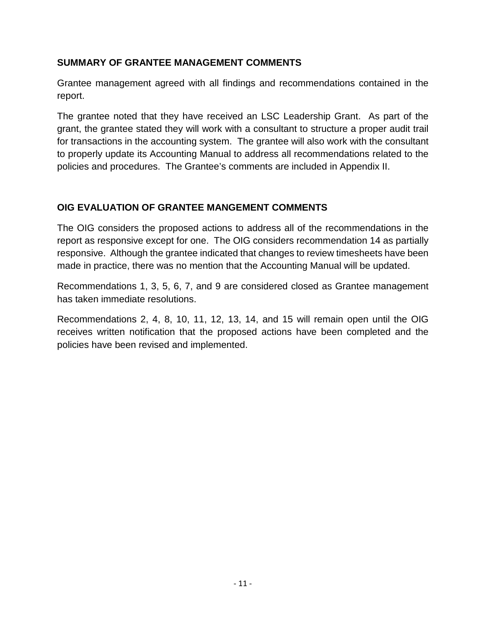#### **SUMMARY OF GRANTEE MANAGEMENT COMMENTS**

Grantee management agreed with all findings and recommendations contained in the report.

The grantee noted that they have received an LSC Leadership Grant. As part of the grant, the grantee stated they will work with a consultant to structure a proper audit trail for transactions in the accounting system. The grantee will also work with the consultant to properly update its Accounting Manual to address all recommendations related to the policies and procedures. The Grantee's comments are included in Appendix II.

#### **OIG EVALUATION OF GRANTEE MANGEMENT COMMENTS**

The OIG considers the proposed actions to address all of the recommendations in the report as responsive except for one. The OIG considers recommendation 14 as partially responsive. Although the grantee indicated that changes to review timesheets have been made in practice, there was no mention that the Accounting Manual will be updated.

Recommendations 1, 3, 5, 6, 7, and 9 are considered closed as Grantee management has taken immediate resolutions.

Recommendations 2, 4, 8, 10, 11, 12, 13, 14, and 15 will remain open until the OIG receives written notification that the proposed actions have been completed and the policies have been revised and implemented.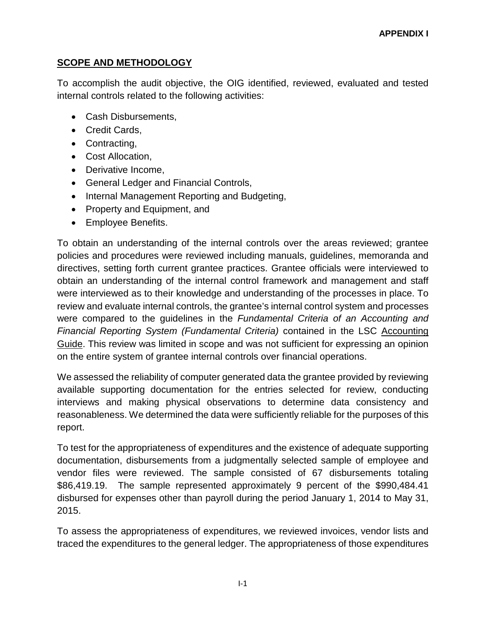#### **SCOPE AND METHODOLOGY**

To accomplish the audit objective, the OIG identified, reviewed, evaluated and tested internal controls related to the following activities:

- Cash Disbursements,
- Credit Cards,
- Contracting,
- Cost Allocation,
- Derivative Income,
- General Ledger and Financial Controls,
- Internal Management Reporting and Budgeting,
- Property and Equipment, and
- Employee Benefits.

To obtain an understanding of the internal controls over the areas reviewed; grantee policies and procedures were reviewed including manuals, guidelines, memoranda and directives, setting forth current grantee practices. Grantee officials were interviewed to obtain an understanding of the internal control framework and management and staff were interviewed as to their knowledge and understanding of the processes in place. To review and evaluate internal controls, the grantee's internal control system and processes were compared to the guidelines in the *Fundamental Criteria of an Accounting and Financial Reporting System (Fundamental Criteria)* contained in the LSC Accounting Guide. This review was limited in scope and was not sufficient for expressing an opinion on the entire system of grantee internal controls over financial operations.

We assessed the reliability of computer generated data the grantee provided by reviewing available supporting documentation for the entries selected for review, conducting interviews and making physical observations to determine data consistency and reasonableness. We determined the data were sufficiently reliable for the purposes of this report.

To test for the appropriateness of expenditures and the existence of adequate supporting documentation, disbursements from a judgmentally selected sample of employee and vendor files were reviewed. The sample consisted of 67 disbursements totaling \$86,419.19. The sample represented approximately 9 percent of the \$990,484.41 disbursed for expenses other than payroll during the period January 1, 2014 to May 31, 2015.

To assess the appropriateness of expenditures, we reviewed invoices, vendor lists and traced the expenditures to the general ledger. The appropriateness of those expenditures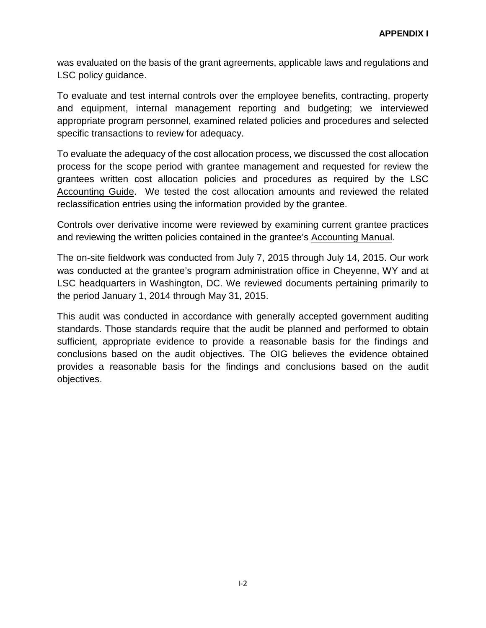was evaluated on the basis of the grant agreements, applicable laws and regulations and LSC policy guidance.

To evaluate and test internal controls over the employee benefits, contracting, property and equipment, internal management reporting and budgeting; we interviewed appropriate program personnel, examined related policies and procedures and selected specific transactions to review for adequacy.

To evaluate the adequacy of the cost allocation process, we discussed the cost allocation process for the scope period with grantee management and requested for review the grantees written cost allocation policies and procedures as required by the LSC Accounting Guide. We tested the cost allocation amounts and reviewed the related reclassification entries using the information provided by the grantee.

Controls over derivative income were reviewed by examining current grantee practices and reviewing the written policies contained in the grantee's Accounting Manual.

The on-site fieldwork was conducted from July 7, 2015 through July 14, 2015. Our work was conducted at the grantee's program administration office in Cheyenne, WY and at LSC headquarters in Washington, DC. We reviewed documents pertaining primarily to the period January 1, 2014 through May 31, 2015.

This audit was conducted in accordance with generally accepted government auditing standards. Those standards require that the audit be planned and performed to obtain sufficient, appropriate evidence to provide a reasonable basis for the findings and conclusions based on the audit objectives. The OIG believes the evidence obtained provides a reasonable basis for the findings and conclusions based on the audit objectives.